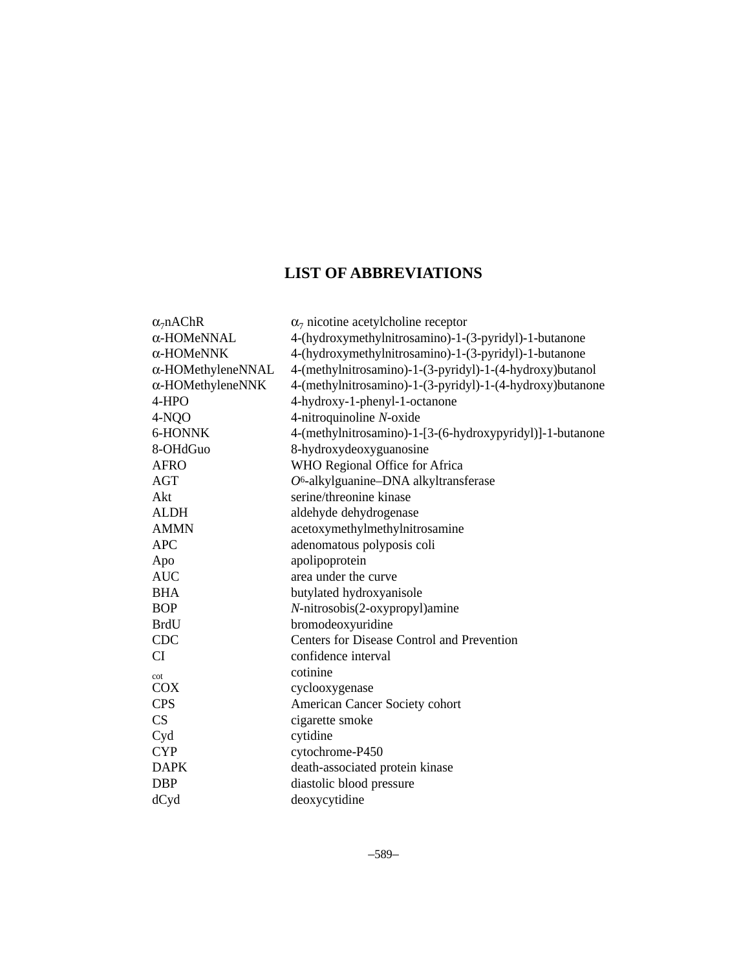## **LIST OF ABBREVIATIONS**

| $\alpha_7$ nAChR          | $\alpha$ <sub>7</sub> nicotine acetylcholine receptor     |
|---------------------------|-----------------------------------------------------------|
| α-HOMeNNAL                | 4-(hydroxymethylnitrosamino)-1-(3-pyridyl)-1-butanone     |
| $\alpha$ -HOMeNNK         | 4-(hydroxymethylnitrosamino)-1-(3-pyridyl)-1-butanone     |
| $\alpha$ -HOMethyleneNNAL | 4-(methylnitrosamino)-1-(3-pyridyl)-1-(4-hydroxy)butanol  |
| $\alpha$ -HOMethyleneNNK  | 4-(methylnitrosamino)-1-(3-pyridyl)-1-(4-hydroxy)butanone |
| 4-HPO                     | 4-hydroxy-1-phenyl-1-octanone                             |
| 4-NQO                     | 4-nitroquinoline N-oxide                                  |
| 6-HONNK                   | 4-(methylnitrosamino)-1-[3-(6-hydroxypyridyl)]-1-butanone |
| 8-OHdGuo                  | 8-hydroxydeoxyguanosine                                   |
| <b>AFRO</b>               | WHO Regional Office for Africa                            |
| AGT                       | O <sup>6</sup> -alkylguanine-DNA alkyltransferase         |
| Akt                       | serine/threonine kinase                                   |
| <b>ALDH</b>               | aldehyde dehydrogenase                                    |
| <b>AMMN</b>               | acetoxymethylmethylnitrosamine                            |
| <b>APC</b>                | adenomatous polyposis coli                                |
| Apo                       | apolipoprotein                                            |
| <b>AUC</b>                | area under the curve                                      |
| <b>BHA</b>                | butylated hydroxyanisole                                  |
| <b>BOP</b>                | N-nitrosobis(2-oxypropyl)amine                            |
| <b>BrdU</b>               | bromodeoxyuridine                                         |
| <b>CDC</b>                | Centers for Disease Control and Prevention                |
| <b>CI</b>                 | confidence interval                                       |
| cot                       | cotinine                                                  |
| <b>COX</b>                | cyclooxygenase                                            |
| <b>CPS</b>                | American Cancer Society cohort                            |
| CS                        | cigarette smoke                                           |
| Cyd                       | cytidine                                                  |
| <b>CYP</b>                | cytochrome-P450                                           |
| <b>DAPK</b>               | death-associated protein kinase                           |
| <b>DBP</b>                | diastolic blood pressure                                  |
| dCyd                      | deoxycytidine                                             |
|                           |                                                           |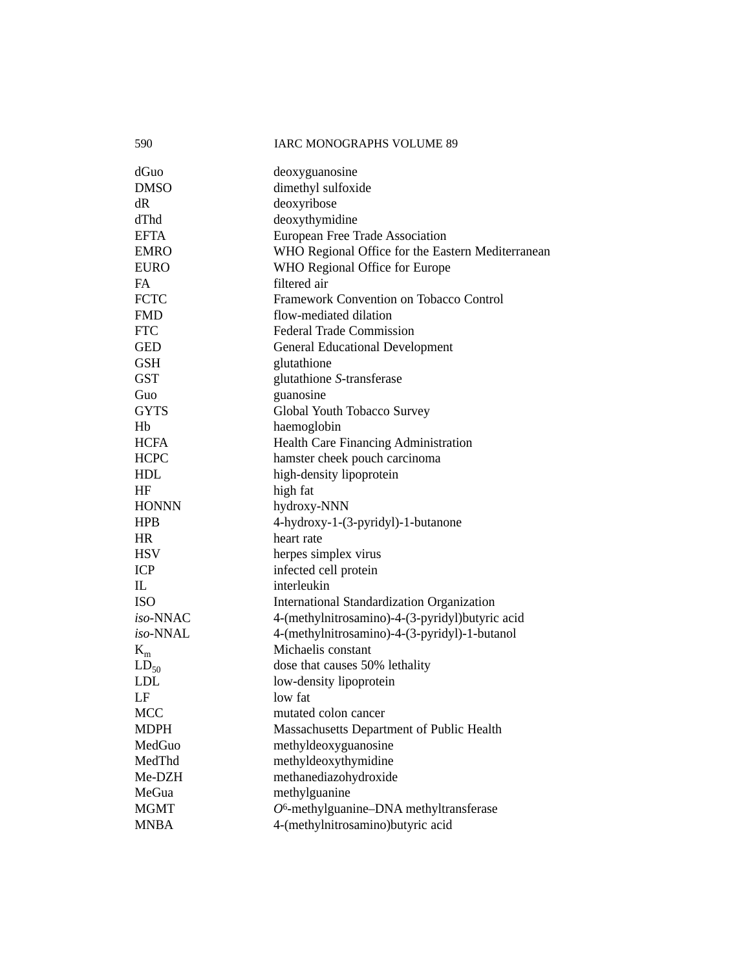| 590          | <b>IARC MONOGRAPHS VOLUME 89</b>                  |
|--------------|---------------------------------------------------|
| dGuo         | deoxyguanosine                                    |
| <b>DMSO</b>  | dimethyl sulfoxide                                |
| dR           | deoxyribose                                       |
| dThd         | deoxythymidine                                    |
| <b>EFTA</b>  | European Free Trade Association                   |
| <b>EMRO</b>  | WHO Regional Office for the Eastern Mediterranean |
| <b>EURO</b>  | WHO Regional Office for Europe                    |
| FA           | filtered air                                      |
| <b>FCTC</b>  | Framework Convention on Tobacco Control           |
| <b>FMD</b>   | flow-mediated dilation                            |
| <b>FTC</b>   | <b>Federal Trade Commission</b>                   |
| <b>GED</b>   | <b>General Educational Development</b>            |
| <b>GSH</b>   | glutathione                                       |
| <b>GST</b>   | glutathione S-transferase                         |
| Guo          | guanosine                                         |
| <b>GYTS</b>  | Global Youth Tobacco Survey                       |
| Hb           | haemoglobin                                       |
| <b>HCFA</b>  | Health Care Financing Administration              |
| <b>HCPC</b>  | hamster cheek pouch carcinoma                     |
| HDL          | high-density lipoprotein                          |
| HF           | high fat                                          |
| <b>HONNN</b> | hydroxy-NNN                                       |
| <b>HPB</b>   | 4-hydroxy-1-(3-pyridyl)-1-butanone                |
| <b>HR</b>    | heart rate                                        |
| <b>HSV</b>   | herpes simplex virus                              |
| <b>ICP</b>   | infected cell protein                             |
| IL           | interleukin                                       |
| <b>ISO</b>   | International Standardization Organization        |
| iso-NNAC     | 4-(methylnitrosamino)-4-(3-pyridyl)butyric acid   |
| iso-NNAL     | 4-(methylnitrosamino)-4-(3-pyridyl)-1-butanol     |
| $K_m$        | Michaelis constant                                |
| $LD_{50}$    | dose that causes 50% lethality                    |
| LDL          | low-density lipoprotein                           |
| LF           | low fat                                           |
| <b>MCC</b>   | mutated colon cancer                              |
| <b>MDPH</b>  | Massachusetts Department of Public Health         |
| MedGuo       | methyldeoxyguanosine                              |
| MedThd       | methyldeoxythymidine                              |
| Me-DZH       | methanediazohydroxide                             |
| MeGua        | methylguanine                                     |
| <b>MGMT</b>  | $O6$ -methylguanine-DNA methyltransferase         |
| <b>MNBA</b>  | 4-(methylnitrosamino)butyric acid                 |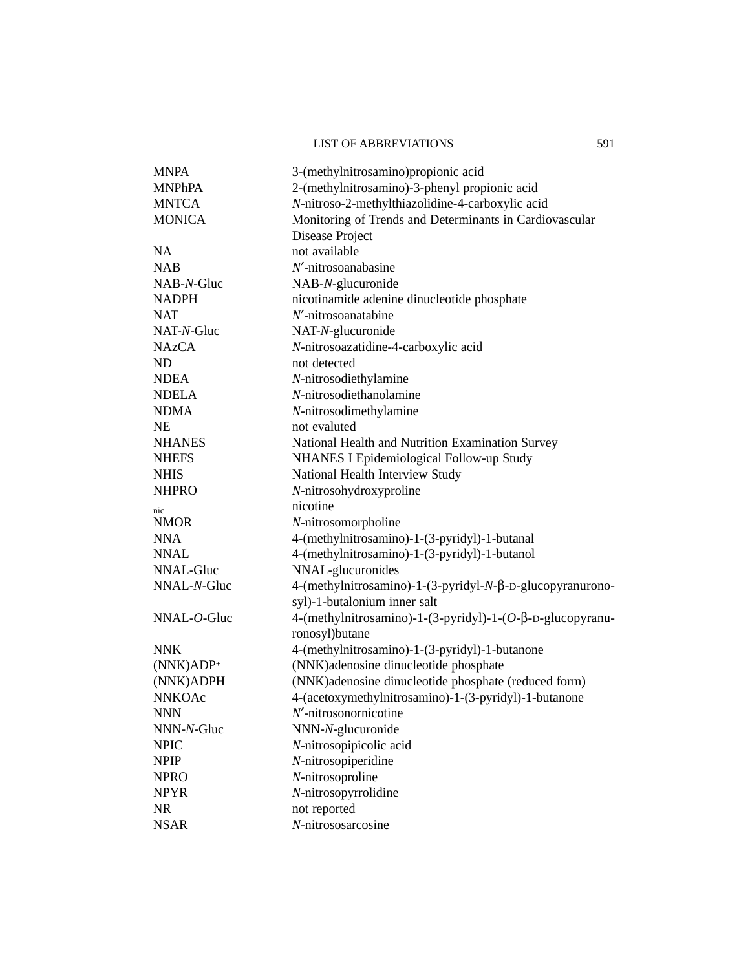## LIST OF ABBREVIATIONS 591

| <b>MNPA</b>   | 3-(methylnitrosamino) propionic acid                                                      |
|---------------|-------------------------------------------------------------------------------------------|
| <b>MNPhPA</b> | 2-(methylnitrosamino)-3-phenyl propionic acid                                             |
| <b>MNTCA</b>  | N-nitroso-2-methylthiazolidine-4-carboxylic acid                                          |
| <b>MONICA</b> | Monitoring of Trends and Determinants in Cardiovascular                                   |
|               | Disease Project                                                                           |
| <b>NA</b>     | not available                                                                             |
| <b>NAB</b>    | $N'$ -nitrosoanabasine                                                                    |
| NAB-N-Gluc    | NAB-N-glucuronide                                                                         |
| <b>NADPH</b>  | nicotinamide adenine dinucleotide phosphate                                               |
| <b>NAT</b>    | $N'$ -nitrosoanatabine                                                                    |
| NAT-N-Gluc    | NAT-N-glucuronide                                                                         |
| <b>NAzCA</b>  | N-nitrosoazatidine-4-carboxylic acid                                                      |
| ND            | not detected                                                                              |
| <b>NDEA</b>   | N-nitrosodiethylamine                                                                     |
| <b>NDELA</b>  | N-nitrosodiethanolamine                                                                   |
| <b>NDMA</b>   | N-nitrosodimethylamine                                                                    |
| <b>NE</b>     | not evaluted                                                                              |
| <b>NHANES</b> | National Health and Nutrition Examination Survey                                          |
| <b>NHEFS</b>  | NHANES I Epidemiological Follow-up Study                                                  |
| <b>NHIS</b>   | <b>National Health Interview Study</b>                                                    |
| <b>NHPRO</b>  | N-nitrosohydroxyproline                                                                   |
| nic           | nicotine                                                                                  |
| <b>NMOR</b>   | N-nitrosomorpholine                                                                       |
| <b>NNA</b>    | 4-(methylnitrosamino)-1-(3-pyridyl)-1-butanal                                             |
| <b>NNAL</b>   | 4-(methylnitrosamino)-1-(3-pyridyl)-1-butanol                                             |
| NNAL-Gluc     | NNAL-glucuronides                                                                         |
| NNAL-N-Gluc   | 4-(methylnitrosamino)-1-(3-pyridyl-N-β-D-glucopyranurono-<br>syl)-1-butalonium inner salt |
| $NNAL-O-Gluc$ | 4-(methylnitrosamino)-1-(3-pyridyl)-1-(O-β-D-glucopyranu-<br>ronosyl) butane              |
| <b>NNK</b>    | 4-(methylnitrosamino)-1-(3-pyridyl)-1-butanone                                            |
| $(NNK)ADP+$   | (NNK)adenosine dinucleotide phosphate                                                     |
| (NNK)ADPH     | (NNK)adenosine dinucleotide phosphate (reduced form)                                      |
| <b>NNKOAc</b> | 4-(acetoxymethylnitrosamino)-1-(3-pyridyl)-1-butanone                                     |
| <b>NNN</b>    | $N'$ -nitrosonornicotine                                                                  |
| NNN-N-Gluc    | NNN-N-glucuronide                                                                         |
| <b>NPIC</b>   | N-nitrosopipicolic acid                                                                   |
| <b>NPIP</b>   | N-nitrosopiperidine                                                                       |
| <b>NPRO</b>   | N-nitrosoproline                                                                          |
| <b>NPYR</b>   | N-nitrosopyrrolidine                                                                      |
| <b>NR</b>     | not reported                                                                              |
| <b>NSAR</b>   | N-nitrososarcosine                                                                        |
|               |                                                                                           |